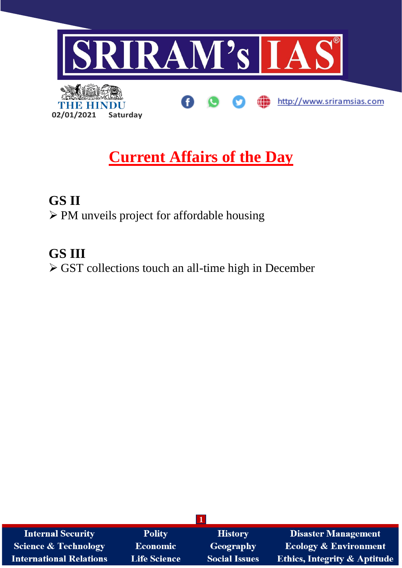

# **Current Affairs of the Day**

# **GS II**

➢ PM unveils project for affordable housing

# **GS III**

➢ GST collections touch an all-time high in December

| <b>Internal Security</b>        | <b>Polity</b>       | <b>History</b>       | <b>Disaster Management</b>              |
|---------------------------------|---------------------|----------------------|-----------------------------------------|
| <b>Science &amp; Technology</b> | <b>Economic</b>     | Geography            | <b>Ecology &amp; Environment</b>        |
| <b>International Relations</b>  | <b>Life Science</b> | <b>Social Issues</b> | <b>Ethics, Integrity &amp; Aptitude</b> |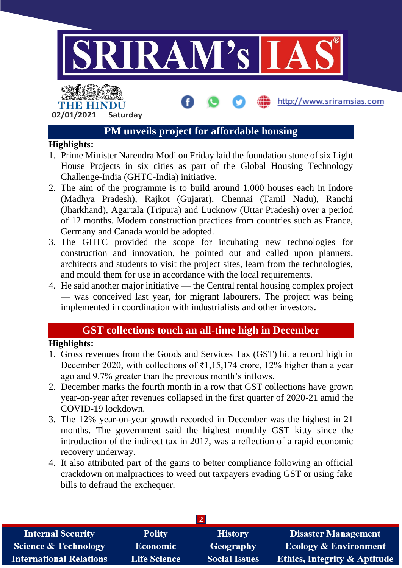

## **PM unveils project for affordable housing**

#### **Highlights:**

**02/01/2021 Saturday**

- 1. Prime Minister Narendra Modi on Friday laid the foundation stone of six Light House Projects in six cities as part of the Global Housing Technology Challenge-India (GHTC-India) initiative.
- 2. The aim of the programme is to build around 1,000 houses each in Indore (Madhya Pradesh), Rajkot (Gujarat), Chennai (Tamil Nadu), Ranchi (Jharkhand), Agartala (Tripura) and Lucknow (Uttar Pradesh) over a period of 12 months. Modern construction practices from countries such as France, Germany and Canada would be adopted.
- 3. The GHTC provided the scope for incubating new technologies for construction and innovation, he pointed out and called upon planners, architects and students to visit the project sites, learn from the technologies, and mould them for use in accordance with the local requirements.
- 4. He said another major initiative the Central rental housing complex project — was conceived last year, for migrant labourers. The project was being implemented in coordination with industrialists and other investors.

### **GST collections touch an all-time high in December**

### **Highlights:**

- 1. Gross revenues from the Goods and Services Tax (GST) hit a record high in December 2020, with collections of ₹1,15,174 crore, 12% higher than a year ago and 9.7% greater than the previous month's inflows.
- 2. December marks the fourth month in a row that GST collections have grown year-on-year after revenues collapsed in the first quarter of 2020-21 amid the COVID-19 lockdown.
- 3. The 12% year-on-year growth recorded in December was the highest in 21 months. The government said the highest monthly GST kitty since the introduction of the indirect tax in 2017, was a reflection of a rapid economic recovery underway.
- 4. It also attributed part of the gains to better compliance following an official crackdown on malpractices to weed out taxpayers evading GST or using fake bills to defraud the exchequer.

| <b>Internal Security</b>        | <b>Polity</b>       | <b>History</b>       | <b>Disaster Management</b>              |  |  |  |
|---------------------------------|---------------------|----------------------|-----------------------------------------|--|--|--|
| <b>Science &amp; Technology</b> | <b>Economic</b>     | Geography            | <b>Ecology &amp; Environment</b>        |  |  |  |
| <b>International Relations</b>  | <b>Life Science</b> | <b>Social Issues</b> | <b>Ethics, Integrity &amp; Aptitude</b> |  |  |  |